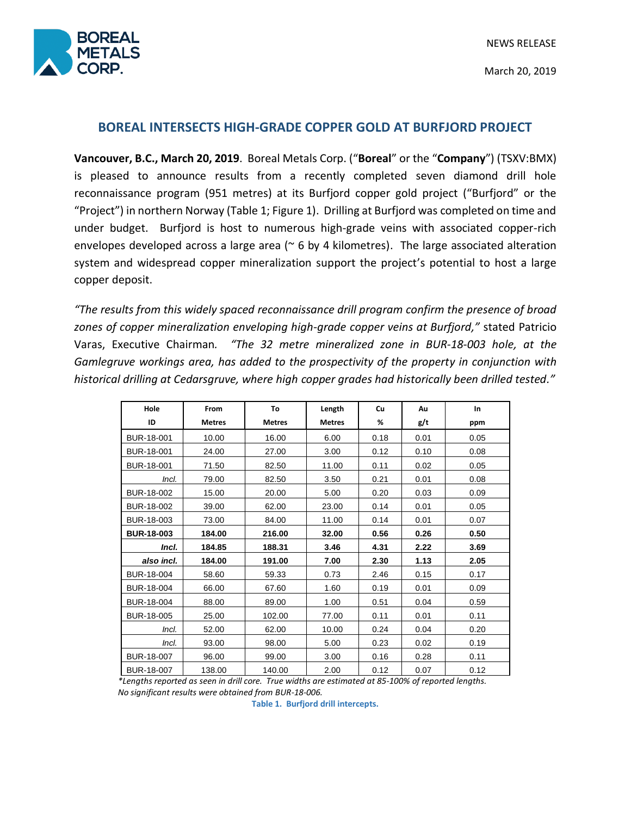

# **BOREAL INTERSECTS HIGH-GRADE COPPER GOLD AT BURFJORD PROJECT**

**Vancouver, B.C., March 20, 2019**. Boreal Metals Corp. ("**Boreal**" or the "**Company**") (TSXV:BMX) is pleased to announce results from a recently completed seven diamond drill hole reconnaissance program (951 metres) at its Burfjord copper gold project ("Burfjord" or the "Project") in northern Norway (Table 1; Figure 1). Drilling at Burfjord was completed on time and under budget. Burfjord is host to numerous high-grade veins with associated copper-rich envelopes developed across a large area ( $\sim$  6 by 4 kilometres). The large associated alteration system and widespread copper mineralization support the project's potential to host a large copper deposit.

*"The results from this widely spaced reconnaissance drill program confirm the presence of broad zones of copper mineralization enveloping high-grade copper veins at Burfjord,"* stated Patricio Varas, Executive Chairman*. "The 32 metre mineralized zone in BUR-18-003 hole, at the Gamlegruve workings area, has added to the prospectivity of the property in conjunction with historical drilling at Cedarsgruve, where high copper grades had historically been drilled tested."*

| Hole              | From          | To            | Length        | Cu   | Au   | In   |
|-------------------|---------------|---------------|---------------|------|------|------|
| ID                | <b>Metres</b> | <b>Metres</b> | <b>Metres</b> | %    | g/t  | ppm  |
| BUR-18-001        | 10.00         | 16.00         | 6.00          | 0.18 | 0.01 | 0.05 |
| BUR-18-001        | 24.00         | 27.00         | 3.00          | 0.12 | 0.10 | 0.08 |
| BUR-18-001        | 71.50         | 82.50         | 11.00         | 0.11 | 0.02 | 0.05 |
| Incl.             | 79.00         | 82.50         | 3.50          | 0.21 | 0.01 | 0.08 |
| BUR-18-002        | 15.00         | 20.00         | 5.00          | 0.20 | 0.03 | 0.09 |
| BUR-18-002        | 39.00         | 62.00         | 23.00         | 0.14 | 0.01 | 0.05 |
| BUR-18-003        | 73.00         | 84.00         | 11.00         | 0.14 | 0.01 | 0.07 |
| <b>BUR-18-003</b> | 184.00        | 216.00        | 32.00         | 0.56 | 0.26 | 0.50 |
| Incl.             | 184.85        | 188.31        | 3.46          | 4.31 | 2.22 | 3.69 |
| also incl.        | 184.00        | 191.00        | 7.00          | 2.30 | 1.13 | 2.05 |
| BUR-18-004        | 58.60         | 59.33         | 0.73          | 2.46 | 0.15 | 0.17 |
| BUR-18-004        | 66.00         | 67.60         | 1.60          | 0.19 | 0.01 | 0.09 |
| BUR-18-004        | 88.00         | 89.00         | 1.00          | 0.51 | 0.04 | 0.59 |
| BUR-18-005        | 25.00         | 102.00        | 77.00         | 0.11 | 0.01 | 0.11 |
| Incl.             | 52.00         | 62.00         | 10.00         | 0.24 | 0.04 | 0.20 |
| Incl.             | 93.00         | 98.00         | 5.00          | 0.23 | 0.02 | 0.19 |
| BUR-18-007        | 96.00         | 99.00         | 3.00          | 0.16 | 0.28 | 0.11 |
| BUR-18-007        | 138.00        | 140.00        | 2.00          | 0.12 | 0.07 | 0.12 |

*\*Lengths reported as seen in drill core. True widths are estimated at 85-100% of reported lengths. No significant results were obtained from BUR-18-006.*

**Table 1. Burfjord drill intercepts.**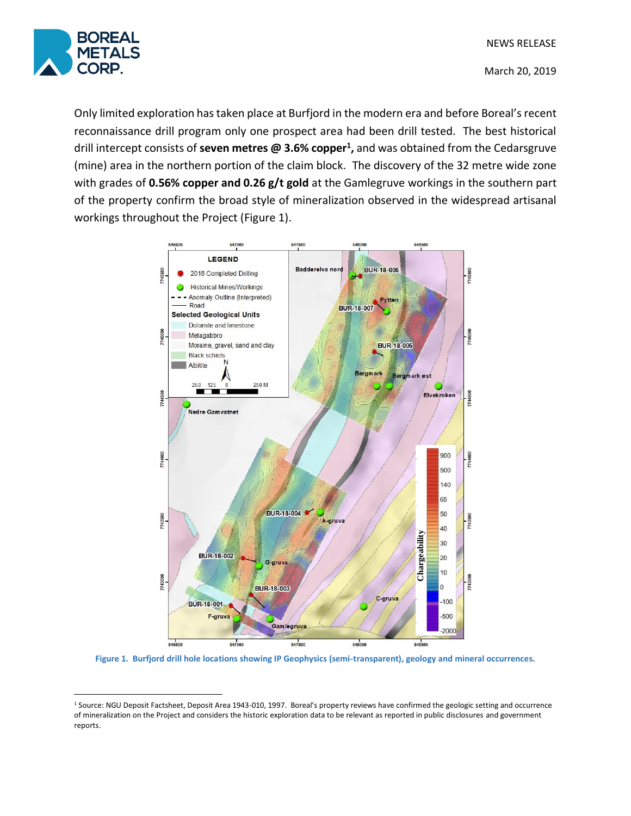

 $\overline{a}$ 

March 20, 2019

Only limited exploration has taken place at Burfjord in the modern era and before Boreal's recent reconnaissance drill program only one prospect area had been drill tested. The best historical drill intercept consists of **seven metres @ 3.6% copper<sup>1</sup> ,** and was obtained from the Cedarsgruve (mine) area in the northern portion of the claim block. The discovery of the 32 metre wide zone with grades of **0.56% copper and 0.26 g/t gold** at the Gamlegruve workings in the southern part of the property confirm the broad style of mineralization observed in the widespread artisanal workings throughout the Project (Figure 1).



**Figure 1. Burfjord drill hole locations showing IP Geophysics (semi-transparent), geology and mineral occurrences.**

<sup>&</sup>lt;sup>1</sup> Source: NGU Deposit Factsheet, Deposit Area 1943-010, 1997. Boreal's property reviews have confirmed the geologic setting and occurrence of mineralization on the Project and considers the historic exploration data to be relevant as reported in public disclosures and government reports.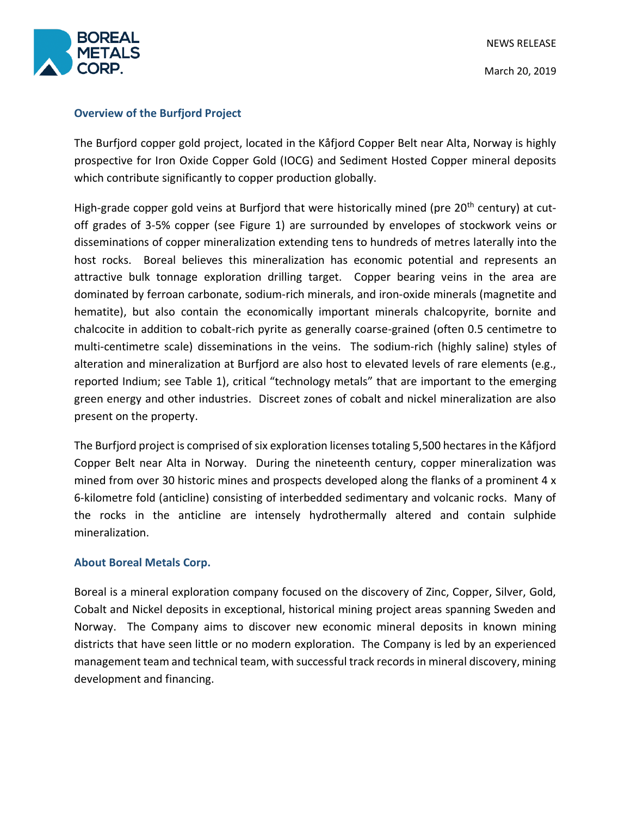

## **Overview of the Burfjord Project**

The Burfjord copper gold project, located in the Kåfjord Copper Belt near Alta, Norway is highly prospective for Iron Oxide Copper Gold (IOCG) and Sediment Hosted Copper mineral deposits which contribute significantly to copper production globally.

High-grade copper gold veins at Burfjord that were historically mined (pre 20<sup>th</sup> century) at cutoff grades of 3-5% copper (see Figure 1) are surrounded by envelopes of stockwork veins or disseminations of copper mineralization extending tens to hundreds of metres laterally into the host rocks. Boreal believes this mineralization has economic potential and represents an attractive bulk tonnage exploration drilling target. Copper bearing veins in the area are dominated by ferroan carbonate, sodium-rich minerals, and iron-oxide minerals (magnetite and hematite), but also contain the economically important minerals chalcopyrite, bornite and chalcocite in addition to cobalt-rich pyrite as generally coarse-grained (often 0.5 centimetre to multi-centimetre scale) disseminations in the veins. The sodium-rich (highly saline) styles of alteration and mineralization at Burfjord are also host to elevated levels of rare elements (e.g., reported Indium; see Table 1), critical "technology metals" that are important to the emerging green energy and other industries. Discreet zones of cobalt and nickel mineralization are also present on the property.

The Burfjord project is comprised of six exploration licenses totaling 5,500 hectares in the Kåfjord Copper Belt near Alta in Norway. During the nineteenth century, copper mineralization was mined from over 30 historic mines and prospects developed along the flanks of a prominent 4 x 6-kilometre fold (anticline) consisting of interbedded sedimentary and volcanic rocks. Many of the rocks in the anticline are intensely hydrothermally altered and contain sulphide mineralization.

### **About Boreal Metals Corp.**

Boreal is a mineral exploration company focused on the discovery of Zinc, Copper, Silver, Gold, Cobalt and Nickel deposits in exceptional, historical mining project areas spanning Sweden and Norway. The Company aims to discover new economic mineral deposits in known mining districts that have seen little or no modern exploration. The Company is led by an experienced management team and technical team, with successful track records in mineral discovery, mining development and financing.